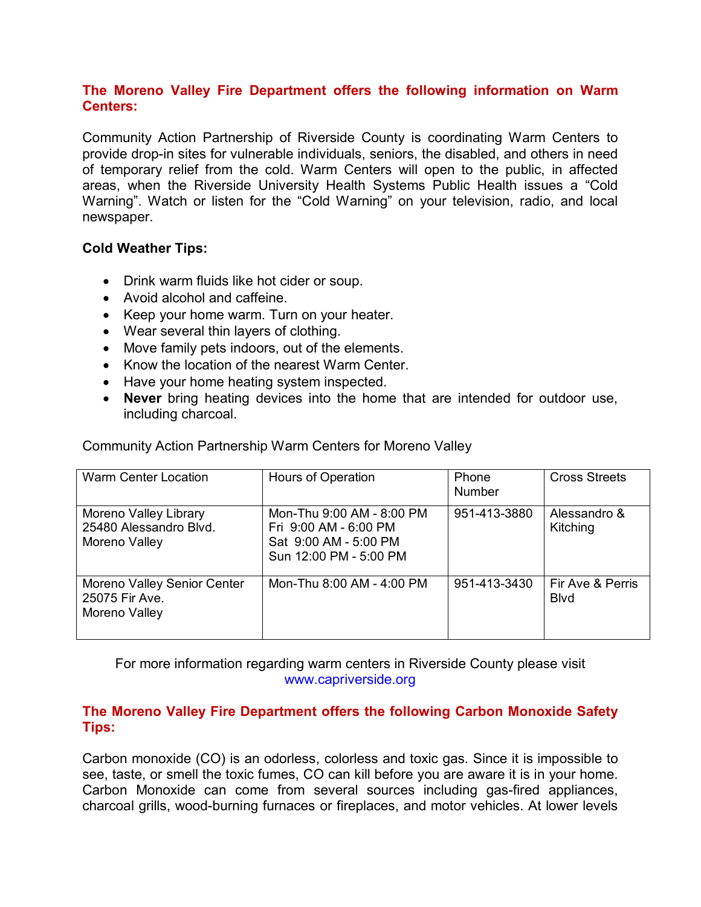## **The Moreno Valley Fire Department offers the following information on Warm Centers:**

Community Action Partnership of Riverside County is coordinating Warm Centers to provide drop-in sites for vulnerable individuals, seniors, the disabled, and others in need of temporary relief from the cold. Warm Centers will open to the public, in affected areas, when the Riverside University Health Systems Public Health issues a "Cold Warning". Watch or listen for the "Cold Warning" on your television, radio, and local newspaper.

## **Cold Weather Tips:**

- Drink warm fluids like hot cider or soup.
- Avoid alcohol and caffeine.
- Keep your home warm. Turn on your heater.
- Wear several thin layers of clothing.
- Move family pets indoors, out of the elements.
- Know the location of the nearest Warm Center.
- Have your home heating system inspected.
- **Never** bring heating devices into the home that are intended for outdoor use, including charcoal.

| <b>Warm Center Location</b>                                      | Hours of Operation                                                                                    | Phone<br><b>Number</b> | <b>Cross Streets</b>             |
|------------------------------------------------------------------|-------------------------------------------------------------------------------------------------------|------------------------|----------------------------------|
| Moreno Valley Library<br>25480 Alessandro Blvd.<br>Moreno Valley | Mon-Thu 9:00 AM - 8:00 PM<br>Fri 9:00 AM - 6:00 PM<br>Sat 9:00 AM - 5:00 PM<br>Sun 12:00 PM - 5:00 PM | 951-413-3880           | Alessandro &<br>Kitching         |
| Moreno Valley Senior Center<br>25075 Fir Ave.<br>Moreno Valley   | Mon-Thu 8:00 AM - 4:00 PM                                                                             | 951-413-3430           | Fir Ave & Perris<br><b>B</b> lvd |

Community Action Partnership Warm Centers for Moreno Valley

For more information regarding warm centers in Riverside County please visit www.capriverside.org

# **The Moreno Valley Fire Department offers the following Carbon Monoxide Safety Tips:**

Carbon monoxide (CO) is an odorless, colorless and toxic gas. Since it is impossible to see, taste, or smell the toxic fumes, CO can kill before you are aware it is in your home. Carbon Monoxide can come from several sources including gas-fired appliances, charcoal grills, wood-burning furnaces or fireplaces, and motor vehicles. At lower levels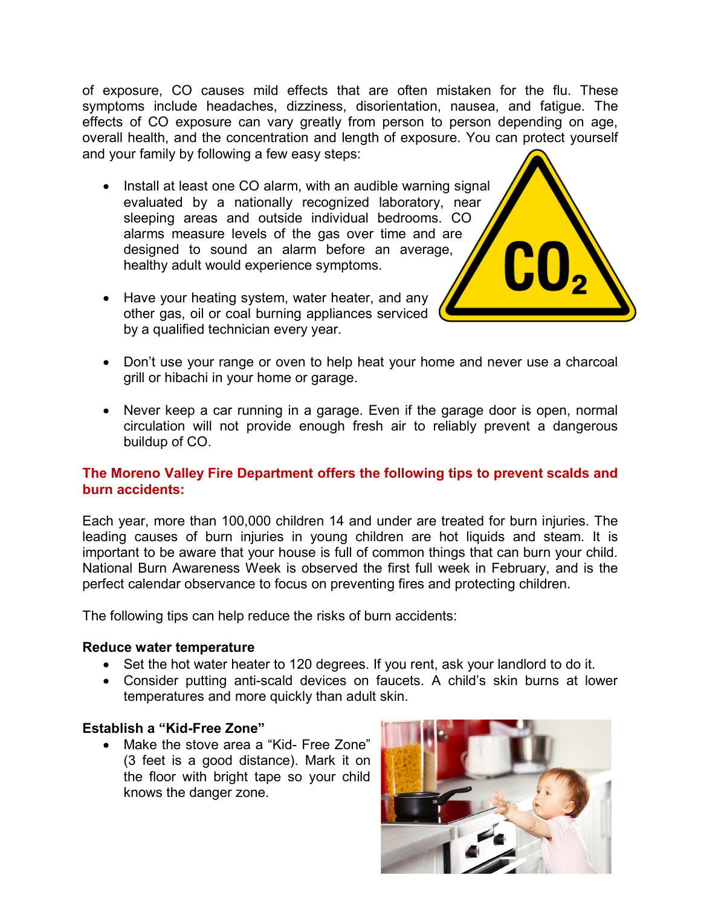of exposure, CO causes mild effects that are often mistaken for the flu. These symptoms include headaches, dizziness, disorientation, nausea, and fatigue. The effects of CO exposure can vary greatly from person to person depending on age, overall health, and the concentration and length of exposure. You can protect yourself and your family by following a few easy steps:

- Install at least one CO alarm, with an audible warning signal evaluated by a nationally recognized laboratory, near sleeping areas and outside individual bedrooms. CO alarms measure levels of the gas over time and are designed to sound an alarm before an average, healthy adult would experience symptoms.
- Have your heating system, water heater, and any other gas, oil or coal burning appliances serviced by a qualified technician every year.
- Don't use your range or oven to help heat your home and never use a charcoal grill or hibachi in your home or garage.
- Never keep a car running in a garage. Even if the garage door is open, normal circulation will not provide enough fresh air to reliably prevent a dangerous buildup of CO.

## **The Moreno Valley Fire Department offers the following tips to prevent scalds and burn accidents:**

Each year, more than 100,000 children 14 and under are treated for burn injuries. The leading causes of burn injuries in young children are hot liquids and steam. It is important to be aware that your house is full of common things that can burn your child. National Burn Awareness Week is observed the first full week in February, and is the perfect calendar observance to focus on preventing fires and protecting children.

The following tips can help reduce the risks of burn accidents:

#### **Reduce water temperature**

- Set the hot water heater to 120 degrees. If you rent, ask your landlord to do it.
- Consider putting anti-scald devices on faucets. A child's skin burns at lower temperatures and more quickly than adult skin.

## **Establish a "Kid-Free Zone"**

• Make the stove area a "Kid- Free Zone" (3 feet is a good distance). Mark it on the floor with bright tape so your child knows the danger zone.

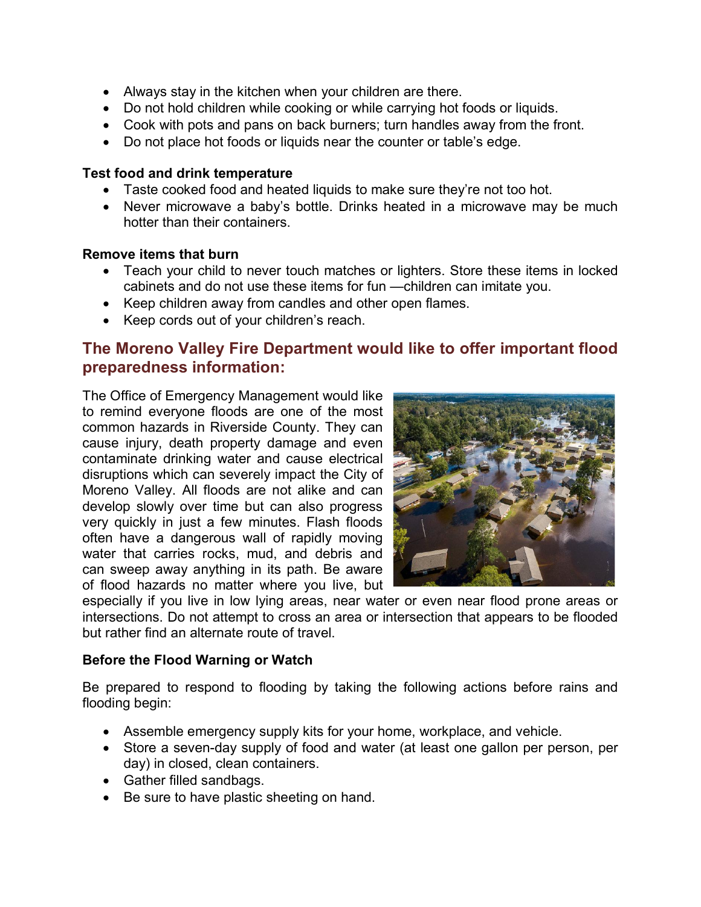- Always stay in the kitchen when your children are there.
- Do not hold children while cooking or while carrying hot foods or liquids.
- Cook with pots and pans on back burners; turn handles away from the front.
- Do not place hot foods or liquids near the counter or table's edge.

## **Test food and drink temperature**

- Taste cooked food and heated liquids to make sure they're not too hot.
- Never microwave a baby's bottle. Drinks heated in a microwave may be much hotter than their containers.

#### **Remove items that burn**

- Teach your child to never touch matches or lighters. Store these items in locked cabinets and do not use these items for fun —children can imitate you.
- Keep children away from candles and other open flames.
- Keep cords out of your children's reach.

# **The Moreno Valley Fire Department would like to offer important flood preparedness information:**

The Office of Emergency Management would like to remind everyone floods are one of the most common hazards in Riverside County. They can cause injury, death property damage and even contaminate drinking water and cause electrical disruptions which can severely impact the City of Moreno Valley. All floods are not alike and can develop slowly over time but can also progress very quickly in just a few minutes. Flash floods often have a dangerous wall of rapidly moving water that carries rocks, mud, and debris and can sweep away anything in its path. Be aware of flood hazards no matter where you live, but



especially if you live in low lying areas, near water or even near flood prone areas or intersections. Do not attempt to cross an area or intersection that appears to be flooded but rather find an alternate route of travel.

## **Before the Flood Warning or Watch**

Be prepared to respond to flooding by taking the following actions before rains and flooding begin:

- Assemble emergency supply kits for your home, workplace, and vehicle.
- Store a seven-day supply of food and water (at least one gallon per person, per day) in closed, clean containers.
- Gather filled sandbags.
- Be sure to have plastic sheeting on hand.